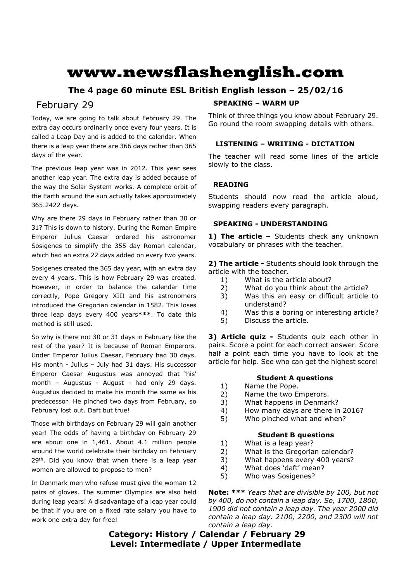# **www.newsflashenglish.com**

# **The 4 page 60 minute ESL British English lesson – 25/02/16**

# February 29

Today, we are going to talk about February 29. The extra day occurs ordinarily once every four years. It is called a Leap Day and is added to the calendar. When there is a leap year there are 366 days rather than 365 days of the year.

The previous leap year was in 2012. This year sees another leap year. The extra day is added because of the way the Solar System works. A complete orbit of the Earth around the sun actually takes approximately 365.2422 days.

Why are there 29 days in February rather than 30 or 31? This is down to history. During the Roman Empire Emperor Julius Caesar ordered his astronomer Sosigenes to simplify the 355 day Roman calendar, which had an extra 22 days added on every two years.

Sosigenes created the 365 day year, with an extra day every 4 years. This is how February 29 was created. However, in order to balance the calendar time correctly, Pope Gregory XIII and his astronomers introduced the Gregorian calendar in 1582. This loses three leap days every 400 years**\*\*\***. To date this method is still used.

So why is there not 30 or 31 days in February like the rest of the year? It is because of Roman Emperors. Under Emperor Julius Caesar, February had 30 days. His month - Julius – July had 31 days. His successor Emperor Caesar Augustus was annoyed that 'his' month – Augustus - August - had only 29 days. Augustus decided to make his month the same as his predecessor. He pinched two days from February, so February lost out. Daft but true!

Those with birthdays on February 29 will gain another year! The odds of having a birthday on February 29 are about one in 1,461. About 4.1 million people around the world celebrate their birthday on February 29<sup>th</sup>. Did you know that when there is a leap year women are allowed to propose to men?

In Denmark men who refuse must give the woman 12 pairs of gloves. The summer Olympics are also held during leap years! A disadvantage of a leap year could be that if you are on a fixed rate salary you have to work one extra day for free!

# **SPEAKING – WARM UP**

Think of three things you know about February 29. Go round the room swapping details with others.

# **LISTENING – WRITING - DICTATION**

The teacher will read some lines of the article slowly to the class.

## **READING**

Students should now read the article aloud, swapping readers every paragraph.

#### **SPEAKING - UNDERSTANDING**

**1) The article –** Students check any unknown vocabulary or phrases with the teacher.

**2) The article -** Students should look through the article with the teacher.

- 1) What is the article about?
- 2) What do you think about the article?
- 3) Was this an easy or difficult article to understand?
- 4) Was this a boring or interesting article?
- 5) Discuss the article.

**3) Article quiz -** Students quiz each other in pairs. Score a point for each correct answer. Score half a point each time you have to look at the article for help. See who can get the highest score!

#### **Student A questions**

- 1) Name the Pope.
- 2) Name the two Emperors.
- 3) What happens in Denmark?
- 4) How many days are there in 2016?
- 5) Who pinched what and when?

#### **Student B questions**

- 1) What is a leap year?
- 2) What is the Gregorian calendar?
- 3) What happens every 400 years?
- 4) What does 'daft' mean?
- 5) Who was Sosigenes?

**Note: \*\*\*** *Years that are divisible by 100, but not by 400, do not contain a leap day. So, 1700, 1800, 1900 did not contain a leap day. The year 2000 did contain a leap day. 2100, 2200, and 2300 will not contain a leap day.*

# **Category: History / Calendar / February 29 Level: Intermediate / Upper Intermediate**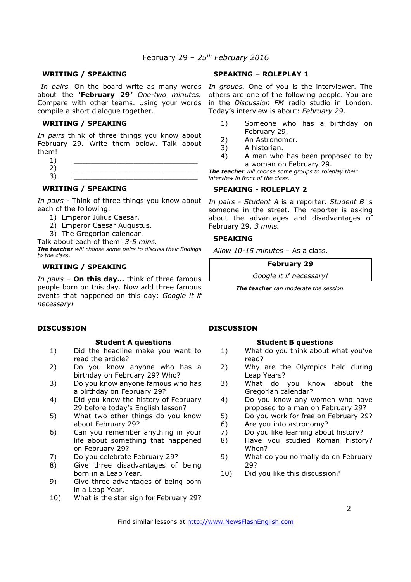#### **WRITING / SPEAKING**

about the **'February 29***' One-two minutes.*  compile a short dialogue together.

#### **WRITING / SPEAKING**

*In pairs* think of three things you know about February 29. Write them below. Talk about them!

- $1)$   $\qquad \qquad$ 2) \_\_\_\_\_\_\_\_\_\_\_\_\_\_\_\_\_\_\_\_\_\_\_\_\_\_\_\_\_
- 3) \_\_\_\_\_\_\_\_\_\_\_\_\_\_\_\_\_\_\_\_\_\_\_\_\_\_\_\_\_

# **WRITING / SPEAKING**

*In pairs* - Think of three things you know about *In pairs - Student A* is a reporter. *Student B* is each of the following:

- 1) Emperor Julius Caesar.
- 2) Emperor Caesar Augustus.
- 3) The Gregorian calendar.

Talk about each of them! *3-5 mins.*

*The teacher will choose some pairs to discuss their findings to the class.* 

### **WRITING / SPEAKING**

*In pairs* – **On this day…** think of three famous people born on this day. Now add three famous events that happened on this day: *Google it if necessary!* 

#### **DISCUSSION**

#### **Student A questions**

- 1) Did the headline make you want to read the article?
- 2) Do you know anyone who has a birthday on February 29? Who?
- 3) Do you know anyone famous who has a birthday on February 29?
- 4) Did you know the history of February 29 before today's English lesson?
- 5) What two other things do you know about February 29?
- 6) Can you remember anything in your life about something that happened on February 29?
- 7) Do you celebrate February 29?
- 8) Give three disadvantages of being born in a Leap Year.
- 9) Give three advantages of being born in a Leap Year.
- 10) What is the star sign for February 29?

#### **SPEAKING – ROLEPLAY 1**

In pairs. On the board write as many words In groups. One of you is the interviewer. The Compare with other teams. Using your words in the *Discussion FM* radio studio in London. others are one of the following people. You are Today's interview is about: *February 29.*

- 1) Someone who has a birthday on February 29.
- 2) An Astronomer.
- 3) A historian.
- 4) A man who has been proposed to by a woman on February 29.

*The teacher will choose some groups to roleplay their interview in front of the class.* 

#### **SPEAKING - ROLEPLAY 2**

someone in the street. The reporter is asking about the advantages and disadvantages of February 29. *3 mins.* 

#### **SPEAKING**

*Allow 10-15 minutes* – As a class.

**February 29** 

*Google it if necessary!*

*The teacher can moderate the session.*

#### **DISCUSSION**

#### **Student B questions**

- 1) What do you think about what you've read?
- 2) Why are the Olympics held during Leap Years?
- 3) What do you know about the Gregorian calendar?
- 4) Do you know any women who have proposed to a man on February 29?
- 5) Do you work for free on February 29?
- 6) Are you into astronomy?
- 7) Do you like learning about history?
- 8) Have you studied Roman history? When?
- 9) What do you normally do on February 29?
- 10) Did you like this discussion?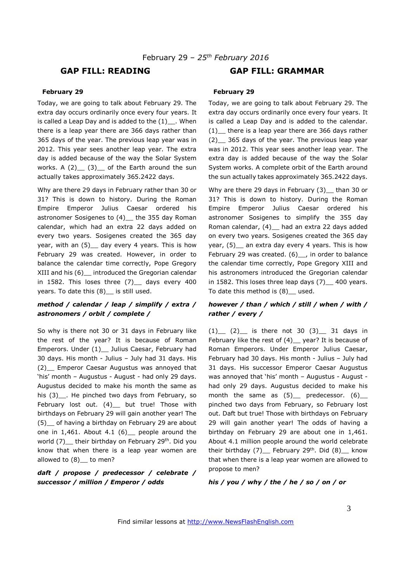# **GAP FILL: READING GAP FILL: GRAMMAR**

#### **February 29**

Today, we are going to talk about February 29. The extra day occurs ordinarily once every four years. It is called a Leap Day and is added to the  $(1)$ . When there is a leap year there are 366 days rather than 365 days of the year. The previous leap year was in 2012. This year sees another leap year. The extra day is added because of the way the Solar System works. A  $(2)$   $(3)$  of the Earth around the sun actually takes approximately 365.2422 days.

Why are there 29 days in February rather than 30 or 31? This is down to history. During the Roman Empire Emperor Julius Caesar ordered his astronomer Sosigenes to (4) \_ the 355 day Roman calendar, which had an extra 22 days added on every two years. Sosigenes created the 365 day year, with an (5) \_ day every 4 years. This is how February 29 was created. However, in order to balance the calendar time correctly, Pope Gregory XIII and his (6)\_\_ introduced the Gregorian calendar in 1582. This loses three  $(7)$  days every 400 years. To date this (8)\_ is still used.

#### *method / calendar / leap / simplify / extra / astronomers / orbit / complete /*

So why is there not 30 or 31 days in February like the rest of the year? It is because of Roman Emperors. Under (1)\_ Julius Caesar, February had 30 days. His month - Julius – July had 31 days. His (2)\_\_ Emperor Caesar Augustus was annoyed that 'his' month – Augustus - August - had only 29 days. Augustus decided to make his month the same as his (3)<sub>--</sub>. He pinched two days from February, so February lost out. (4)\_ but true! Those with birthdays on February 29 will gain another year! The (5)\_\_ of having a birthday on February 29 are about one in  $1,461$ . About  $4.1$   $(6)$  people around the world  $(7)$  their birthday on February 29<sup>th</sup>. Did you know that when there is a leap year women are allowed to (8) to men?

#### *daft / propose / predecessor / celebrate / successor / million / Emperor / odds*

#### **February 29**

Today, we are going to talk about February 29. The extra day occurs ordinarily once every four years. It is called a Leap Day and is added to the calendar. (1)\_\_ there is a leap year there are 366 days rather (2)\_\_ 365 days of the year. The previous leap year was in 2012. This year sees another leap year. The extra day is added because of the way the Solar System works. A complete orbit of the Earth around the sun actually takes approximately 365.2422 days.

Why are there 29 days in February (3) than 30 or 31? This is down to history. During the Roman Empire Emperor Julius Caesar ordered his astronomer Sosigenes to simplify the 355 day Roman calendar, (4)\_\_ had an extra 22 days added on every two years. Sosigenes created the 365 day year, (5) an extra day every 4 years. This is how February 29 was created. (6) , in order to balance the calendar time correctly, Pope Gregory XIII and his astronomers introduced the Gregorian calendar in 1582. This loses three leap days  $(7)$  400 years. To date this method is (8)\_\_ used.

#### *however / than / which / still / when / with / rather / every /*

 $(1)$   $(2)$  is there not 30  $(3)$  31 days in February like the rest of (4) \_ year? It is because of Roman Emperors. Under Emperor Julius Caesar, February had 30 days. His month - Julius – July had 31 days. His successor Emperor Caesar Augustus was annoyed that 'his' month – Augustus - August had only 29 days. Augustus decided to make his month the same as  $(5)$  predecessor.  $(6)$ pinched two days from February, so February lost out. Daft but true! Those with birthdays on February 29 will gain another year! The odds of having a birthday on February 29 are about one in 1,461. About 4.1 million people around the world celebrate their birthday  $(7)$  February 29<sup>th</sup>. Did  $(8)$  know that when there is a leap year women are allowed to propose to men?

*his / you / why / the / he / so / on / or*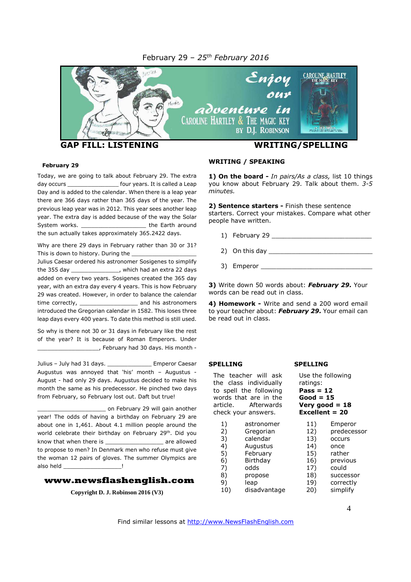#### February 29 – *25 th February 2016*



#### **February 29**

Today, we are going to talk about February 29. The extra day occurs \_\_\_\_\_\_\_\_\_\_\_\_\_\_\_\_\_\_\_\_ four years. It is called a Leap Day and is added to the calendar. When there is a leap year there are 366 days rather than 365 days of the year. The previous leap year was in 2012. This year sees another leap year. The extra day is added because of the way the Solar System works. \_\_\_\_\_\_\_\_\_\_\_\_\_\_\_\_\_\_\_\_\_\_\_\_\_ the Earth around the sun actually takes approximately 365.2422 days.

Why are there 29 days in February rather than 30 or 31? This is down to history. During the

Julius Caesar ordered his astronomer Sosigenes to simplify the 355 day \_\_\_\_\_\_\_\_\_\_\_\_\_\_, which had an extra 22 days added on every two years. Sosigenes created the 365 day year, with an extra day every 4 years. This is how February 29 was created. However, in order to balance the calendar time correctly, and his astronomers introduced the Gregorian calendar in 1582. This loses three leap days every 400 years. To date this method is still used.

So why is there not 30 or 31 days in February like the rest of the year? It is because of Roman Emperors. Under  $\_$ , February had 30 days. His month -

Julius – July had 31 days. \_\_\_\_\_\_\_\_\_\_\_\_\_ Emperor Caesar Augustus was annoyed that 'his' month – Augustus - August - had only 29 days. Augustus decided to make his month the same as his predecessor. He pinched two days from February, so February lost out. Daft but true!

on February 29 will gain another year! The odds of having a birthday on February 29 are about one in 1,461. About 4.1 million people around the world celebrate their birthday on February 29<sup>th</sup>. Did you know that when there is \_\_\_\_\_\_\_\_\_\_\_\_\_\_\_\_\_ are allowed to propose to men? In Denmark men who refuse must give the woman 12 pairs of gloves. The summer Olympics are also held **also held** 

# **www.newsflashenglish.com**

**Copyright D. J. Robinson 2016 (V3)**

#### **WRITING / SPEAKING**

**1) On the board -** *In pairs/As a class,* list 10 things you know about February 29. Talk about them. *3-5 minutes.*

**2) Sentence starters -** Finish these sentence starters. Correct your mistakes. Compare what other people have written.

- 1) February 29 \_\_\_\_\_\_\_\_\_\_\_\_\_\_\_\_\_\_\_\_\_\_\_\_\_\_
- 2) On this day \_\_\_\_\_\_\_\_\_\_\_\_\_\_\_\_\_\_\_\_\_\_\_\_\_\_\_
- 3) Emperor \_\_\_\_\_\_\_\_\_\_\_\_\_\_\_\_\_\_\_\_\_\_\_\_\_\_\_\_\_

**3)** Write down 50 words about: *February 29.* Your words can be read out in class.

**4) Homework -** Write and send a 200 word email to your teacher about: *February 29.* Your email can be read out in class.

#### **SPELLING**

The teacher will ask the class individually to spell the following words that are in the article. Afterwards check your answers.

- 1) astronomer 2) Gregorian
- 3) calendar
- 4) Augustus
- 5) February<br>6) Birthday **Birthday**
- 7) odds
- 8) propose
- 9) leap
- 10) disadvantage

**SPELLING**

Use the following ratings: **Pass = 12 Good = 15 Very good = 18 Excellent = 20**

- 11) Emperor<br>12) predeces
	- 12) predecessor
- 13) occurs
- 14) once
- 15) rather
- 16) previous
- 17) could
- 18) successor
- 19) correctly 20) simplify
	-